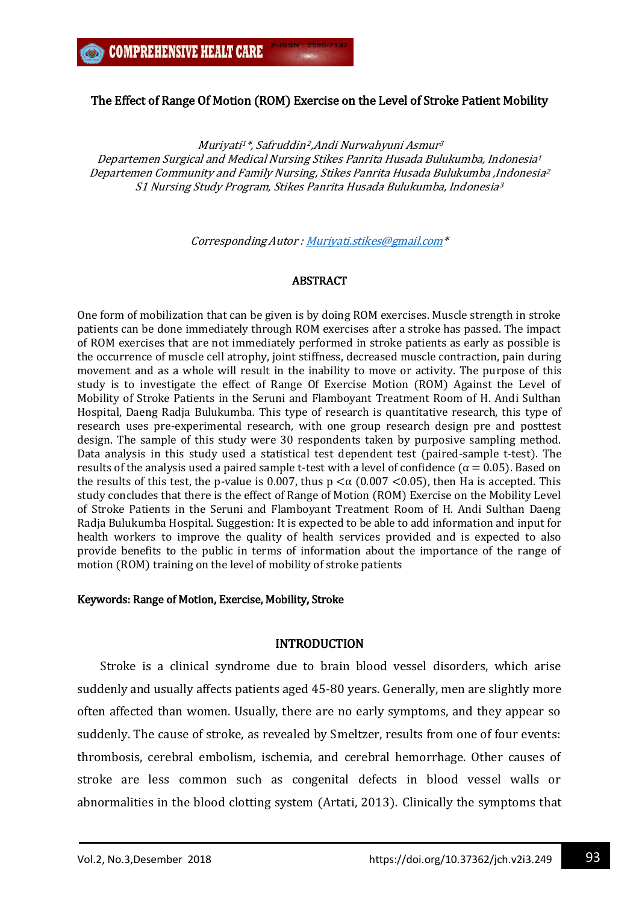# The Effect of Range Of Motion (ROM) Exercise on the Level of Stroke Patient Mobility

Muriyati <sup>1</sup>\*, Safruddin<sup>2</sup>,Andi Nurwahyuni Asmur 3 Departemen Surgical and Medical Nursing Stikes Panrita Husada Bulukumba, Indonesia<sup>1</sup> Departemen Community and Family Nursing, Stikes Panrita Husada Bulukumba ,Indonesia<sup>2</sup> S1 Nursing Study Program, Stikes Panrita Husada Bulukumba, Indonesia<sup>3</sup>

Corresponding Autor [: Muriyati.stikes@gmail.com\\*](mailto:Muriyati.stikes@gmail.com)

## **ABSTRACT**

One form of mobilization that can be given is by doing ROM exercises. Muscle strength in stroke patients can be done immediately through ROM exercises after a stroke has passed. The impact of ROM exercises that are not immediately performed in stroke patients as early as possible is the occurrence of muscle cell atrophy, joint stiffness, decreased muscle contraction, pain during movement and as a whole will result in the inability to move or activity. The purpose of this study is to investigate the effect of Range Of Exercise Motion (ROM) Against the Level of Mobility of Stroke Patients in the Seruni and Flamboyant Treatment Room of H. Andi Sulthan Hospital, Daeng Radja Bulukumba. This type of research is quantitative research, this type of research uses pre-experimental research, with one group research design pre and posttest design. The sample of this study were 30 respondents taken by purposive sampling method. Data analysis in this study used a statistical test dependent test (paired-sample t-test). The results of the analysis used a paired sample t-test with a level of confidence ( $\alpha = 0.05$ ). Based on the results of this test, the p-value is 0.007, thus  $p \lt a$  (0.007  $\lt 0.05$ ), then Ha is accepted. This study concludes that there is the effect of Range of Motion (ROM) Exercise on the Mobility Level of Stroke Patients in the Seruni and Flamboyant Treatment Room of H. Andi Sulthan Daeng Radja Bulukumba Hospital. Suggestion: It is expected to be able to add information and input for health workers to improve the quality of health services provided and is expected to also provide benefits to the public in terms of information about the importance of the range of motion (ROM) training on the level of mobility of stroke patients

#### Keywords: Range of Motion, Exercise, Mobility, Stroke

## INTRODUCTION

Stroke is a clinical syndrome due to brain blood vessel disorders, which arise suddenly and usually affects patients aged 45-80 years. Generally, men are slightly more often affected than women. Usually, there are no early symptoms, and they appear so suddenly. The cause of stroke, as revealed by Smeltzer, results from one of four events: thrombosis, cerebral embolism, ischemia, and cerebral hemorrhage. Other causes of stroke are less common such as congenital defects in blood vessel walls or abnormalities in the blood clotting system (Artati, 2013). Clinically the symptoms that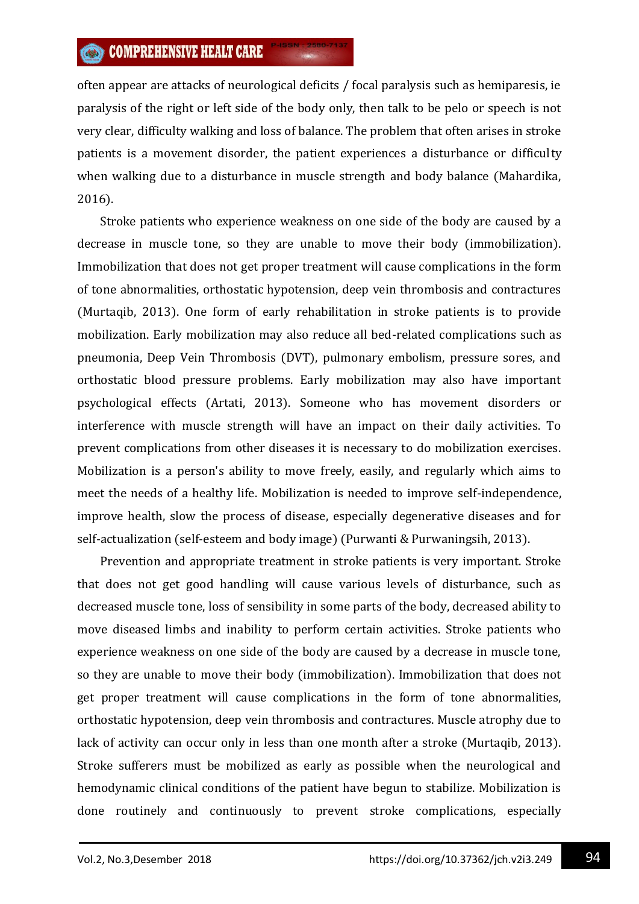often appear are attacks of neurological deficits / focal paralysis such as hemiparesis, ie paralysis of the right or left side of the body only, then talk to be pelo or speech is not very clear, difficulty walking and loss of balance. The problem that often arises in stroke patients is a movement disorder, the patient experiences a disturbance or difficulty when walking due to a disturbance in muscle strength and body balance (Mahardika, 2016).

Stroke patients who experience weakness on one side of the body are caused by a decrease in muscle tone, so they are unable to move their body (immobilization). Immobilization that does not get proper treatment will cause complications in the form of tone abnormalities, orthostatic hypotension, deep vein thrombosis and contractures (Murtaqib, 2013). One form of early rehabilitation in stroke patients is to provide mobilization. Early mobilization may also reduce all bed-related complications such as pneumonia, Deep Vein Thrombosis (DVT), pulmonary embolism, pressure sores, and orthostatic blood pressure problems. Early mobilization may also have important psychological effects (Artati, 2013). Someone who has movement disorders or interference with muscle strength will have an impact on their daily activities. To prevent complications from other diseases it is necessary to do mobilization exercises. Mobilization is a person's ability to move freely, easily, and regularly which aims to meet the needs of a healthy life. Mobilization is needed to improve self-independence, improve health, slow the process of disease, especially degenerative diseases and for self-actualization (self-esteem and body image) (Purwanti & Purwaningsih, 2013).

Prevention and appropriate treatment in stroke patients is very important. Stroke that does not get good handling will cause various levels of disturbance, such as decreased muscle tone, loss of sensibility in some parts of the body, decreased ability to move diseased limbs and inability to perform certain activities. Stroke patients who experience weakness on one side of the body are caused by a decrease in muscle tone, so they are unable to move their body (immobilization). Immobilization that does not get proper treatment will cause complications in the form of tone abnormalities, orthostatic hypotension, deep vein thrombosis and contractures. Muscle atrophy due to lack of activity can occur only in less than one month after a stroke (Murtaqib, 2013). Stroke sufferers must be mobilized as early as possible when the neurological and hemodynamic clinical conditions of the patient have begun to stabilize. Mobilization is done routinely and continuously to prevent stroke complications, especially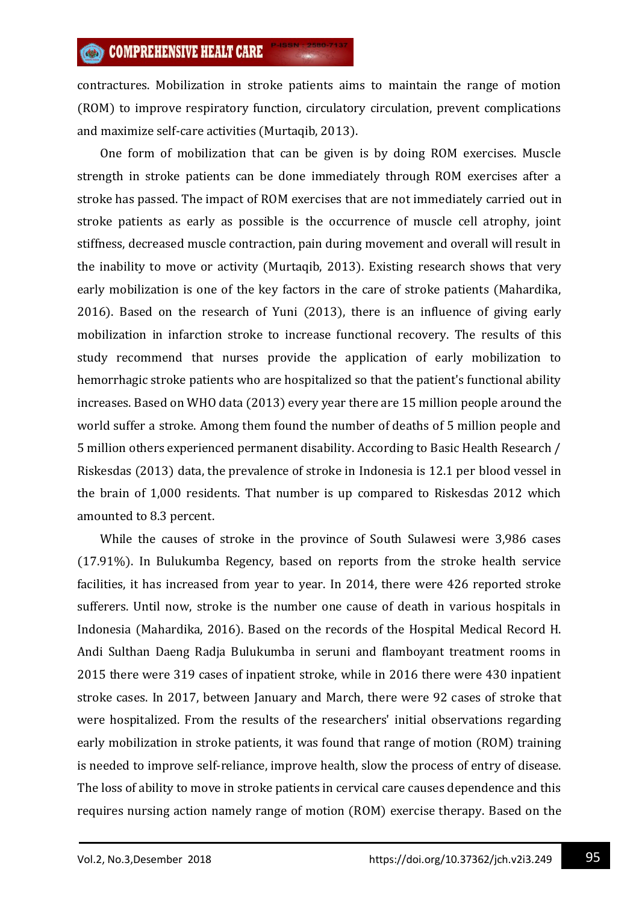contractures. Mobilization in stroke patients aims to maintain the range of motion (ROM) to improve respiratory function, circulatory circulation, prevent complications and maximize self-care activities (Murtaqib, 2013).

One form of mobilization that can be given is by doing ROM exercises. Muscle strength in stroke patients can be done immediately through ROM exercises after a stroke has passed. The impact of ROM exercises that are not immediately carried out in stroke patients as early as possible is the occurrence of muscle cell atrophy, joint stiffness, decreased muscle contraction, pain during movement and overall will result in the inability to move or activity (Murtaqib, 2013). Existing research shows that very early mobilization is one of the key factors in the care of stroke patients (Mahardika, 2016). Based on the research of Yuni (2013), there is an influence of giving early mobilization in infarction stroke to increase functional recovery. The results of this study recommend that nurses provide the application of early mobilization to hemorrhagic stroke patients who are hospitalized so that the patient's functional ability increases. Based on WHO data (2013) every year there are 15 million people around the world suffer a stroke. Among them found the number of deaths of 5 million people and 5 million others experienced permanent disability. According to Basic Health Research / Riskesdas (2013) data, the prevalence of stroke in Indonesia is 12.1 per blood vessel in the brain of 1,000 residents. That number is up compared to Riskesdas 2012 which amounted to 8.3 percent.

While the causes of stroke in the province of South Sulawesi were 3,986 cases (17.91%). In Bulukumba Regency, based on reports from the stroke health service facilities, it has increased from year to year. In 2014, there were 426 reported stroke sufferers. Until now, stroke is the number one cause of death in various hospitals in Indonesia (Mahardika, 2016). Based on the records of the Hospital Medical Record H. Andi Sulthan Daeng Radja Bulukumba in seruni and flamboyant treatment rooms in 2015 there were 319 cases of inpatient stroke, while in 2016 there were 430 inpatient stroke cases. In 2017, between January and March, there were 92 cases of stroke that were hospitalized. From the results of the researchers' initial observations regarding early mobilization in stroke patients, it was found that range of motion (ROM) training is needed to improve self-reliance, improve health, slow the process of entry of disease. The loss of ability to move in stroke patients in cervical care causes dependence and this requires nursing action namely range of motion (ROM) exercise therapy. Based on the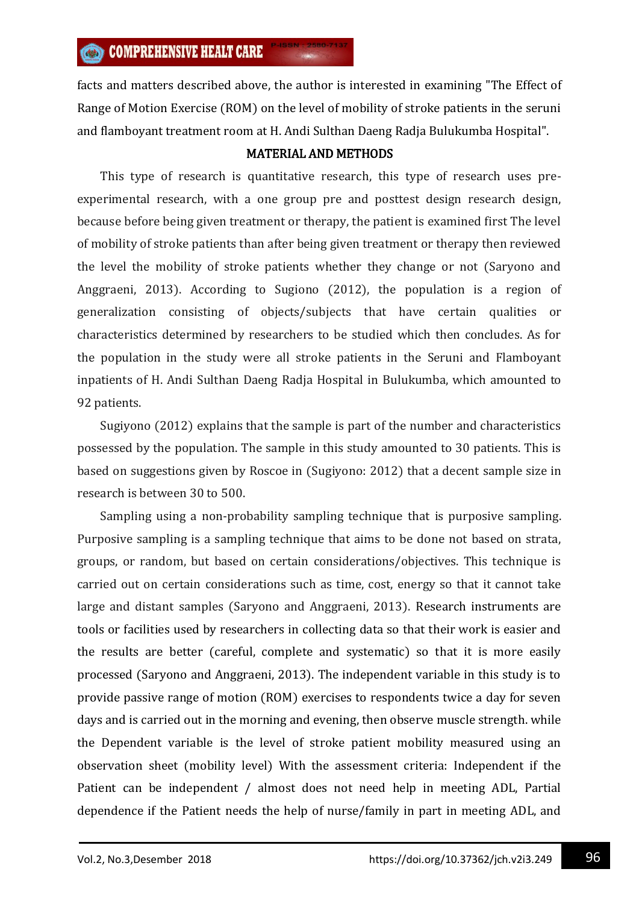facts and matters described above, the author is interested in examining "The Effect of Range of Motion Exercise (ROM) on the level of mobility of stroke patients in the seruni and flamboyant treatment room at H. Andi Sulthan Daeng Radja Bulukumba Hospital".

# MATERIAL AND METHODS

This type of research is quantitative research, this type of research uses preexperimental research, with a one group pre and posttest design research design, because before being given treatment or therapy, the patient is examined first The level of mobility of stroke patients than after being given treatment or therapy then reviewed the level the mobility of stroke patients whether they change or not (Saryono and Anggraeni, 2013). According to Sugiono (2012), the population is a region of generalization consisting of objects/subjects that have certain qualities or characteristics determined by researchers to be studied which then concludes. As for the population in the study were all stroke patients in the Seruni and Flamboyant inpatients of H. Andi Sulthan Daeng Radja Hospital in Bulukumba, which amounted to 92 patients.

Sugiyono (2012) explains that the sample is part of the number and characteristics possessed by the population. The sample in this study amounted to 30 patients. This is based on suggestions given by Roscoe in (Sugiyono: 2012) that a decent sample size in research is between 30 to 500.

Sampling using a non-probability sampling technique that is purposive sampling. Purposive sampling is a sampling technique that aims to be done not based on strata, groups, or random, but based on certain considerations/objectives. This technique is carried out on certain considerations such as time, cost, energy so that it cannot take large and distant samples (Saryono and Anggraeni, 2013). Research instruments are tools or facilities used by researchers in collecting data so that their work is easier and the results are better (careful, complete and systematic) so that it is more easily processed (Saryono and Anggraeni, 2013). The independent variable in this study is to provide passive range of motion (ROM) exercises to respondents twice a day for seven days and is carried out in the morning and evening, then observe muscle strength. while the Dependent variable is the level of stroke patient mobility measured using an observation sheet (mobility level) With the assessment criteria: Independent if the Patient can be independent / almost does not need help in meeting ADL, Partial dependence if the Patient needs the help of nurse/family in part in meeting ADL, and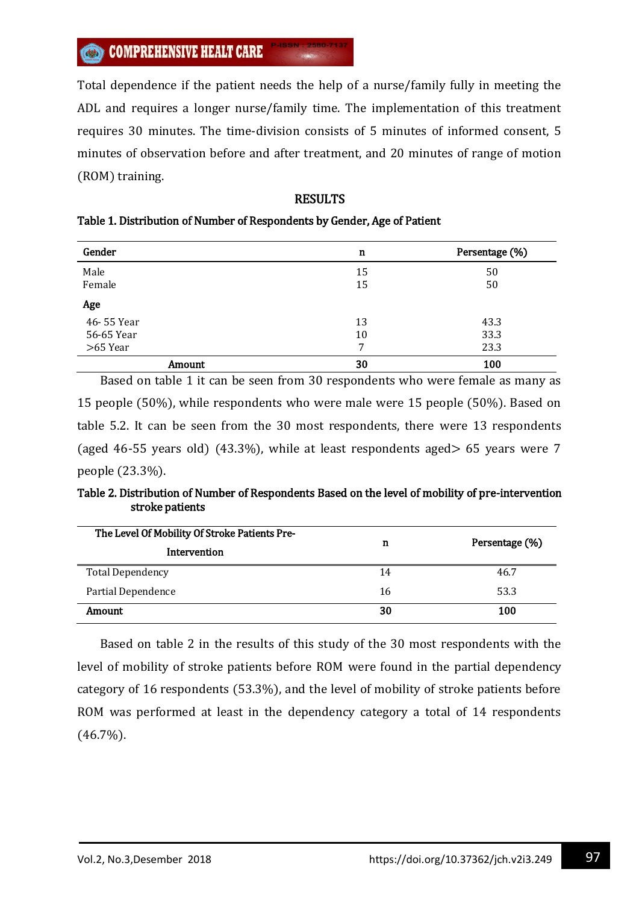Total dependence if the patient needs the help of a nurse/family fully in meeting the ADL and requires a longer nurse/family time. The implementation of this treatment requires 30 minutes. The time-division consists of 5 minutes of informed consent, 5 minutes of observation before and after treatment, and 20 minutes of range of motion (ROM) training.

## RESULTS

# Table 1. Distribution of Number of Respondents by Gender, Age of Patient

| Gender     | n  | Persentage (%) |
|------------|----|----------------|
| Male       | 15 | 50             |
| Female     | 15 | 50             |
| Age        |    |                |
| 46-55 Year | 13 | 43.3           |
| 56-65 Year | 10 | 33.3           |
| >65 Year   | 7  | 23.3           |
| Amount     | 30 | 100            |

Based on table 1 it can be seen from 30 respondents who were female as many as 15 people (50%), while respondents who were male were 15 people (50%). Based on table 5.2. It can be seen from the 30 most respondents, there were 13 respondents (aged 46-55 years old) (43.3%), while at least respondents aged> 65 years were 7 people (23.3%).

Table 2. Distribution of Number of Respondents Based on the level of mobility of pre-intervention stroke patients

| The Level Of Mobility Of Stroke Patients Pre- |    | Persentage (%) |  |  |
|-----------------------------------------------|----|----------------|--|--|
| Intervention                                  | n  |                |  |  |
| <b>Total Dependency</b>                       | 14 | 46.7           |  |  |
| Partial Dependence                            | 16 | 53.3           |  |  |
| Amount                                        | 30 | 100            |  |  |

Based on table 2 in the results of this study of the 30 most respondents with the level of mobility of stroke patients before ROM were found in the partial dependency category of 16 respondents (53.3%), and the level of mobility of stroke patients before ROM was performed at least in the dependency category a total of 14 respondents (46.7%).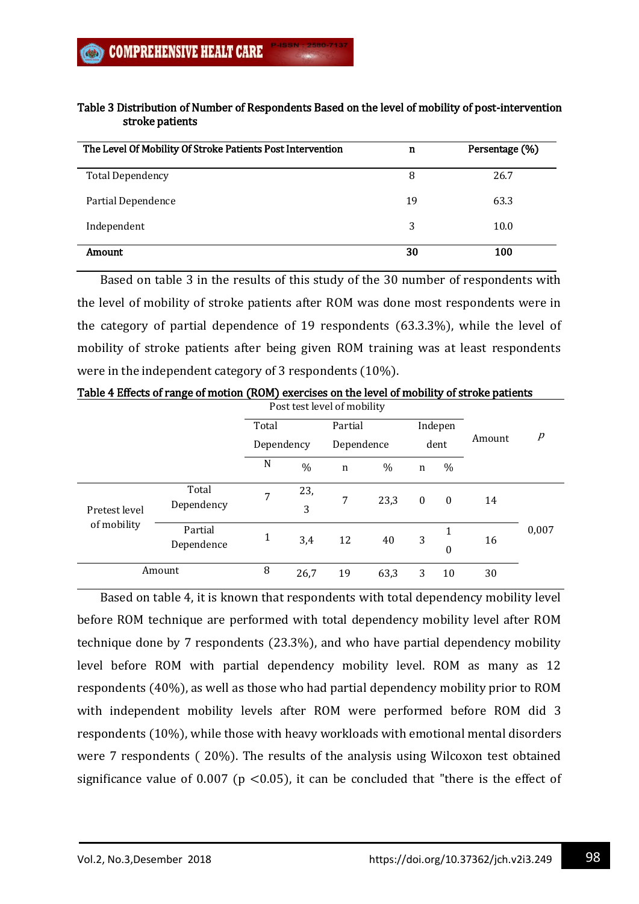| The Level Of Mobility Of Stroke Patients Post Intervention | n  | Persentage (%) |
|------------------------------------------------------------|----|----------------|
| <b>Total Dependency</b>                                    | 8  | 26.7           |
| Partial Dependence                                         | 19 | 63.3           |
| Independent                                                | 3  | 10.0           |
| Amount                                                     | 30 | 100            |

# Table 3 Distribution of Number of Respondents Based on the level of mobility of post-intervention stroke patients

Based on table 3 in the results of this study of the 30 number of respondents with the level of mobility of stroke patients after ROM was done most respondents were in the category of partial dependence of 19 respondents (63.3.3%), while the level of mobility of stroke patients after being given ROM training was at least respondents were in the independent category of 3 respondents (10%).

|                              | Post test level of mobility |            |          |             |      |          |                       |        |                  |
|------------------------------|-----------------------------|------------|----------|-------------|------|----------|-----------------------|--------|------------------|
|                              |                             | Total      |          | Partial     |      |          | Indepen               |        |                  |
|                              |                             | Dependency |          | Dependence  |      | dent     |                       | Amount | $\boldsymbol{p}$ |
|                              |                             | N          | $\%$     | $\mathbf n$ | $\%$ | n        | $\%$                  |        |                  |
| Pretest level<br>of mobility | Total<br>Dependency         | 7          | 23,<br>3 | 7           | 23,3 | $\bf{0}$ | $\bf{0}$              | 14     |                  |
|                              | Partial<br>Dependence       | 1          | 3,4      | 12          | 40   | 3        | 1<br>$\boldsymbol{0}$ | 16     | 0,007            |
|                              | Amount                      | 8          | 26,7     | 19          | 63,3 | 3        | 10                    | 30     |                  |

Table 4 Effects of range of motion (ROM) exercises on the level of mobility of stroke patients

Based on table 4, it is known that respondents with total dependency mobility level before ROM technique are performed with total dependency mobility level after ROM technique done by 7 respondents (23.3%), and who have partial dependency mobility level before ROM with partial dependency mobility level. ROM as many as 12 respondents (40%), as well as those who had partial dependency mobility prior to ROM with independent mobility levels after ROM were performed before ROM did 3 respondents (10%), while those with heavy workloads with emotional mental disorders were 7 respondents ( 20%). The results of the analysis using Wilcoxon test obtained significance value of 0.007 ( $p < 0.05$ ), it can be concluded that "there is the effect of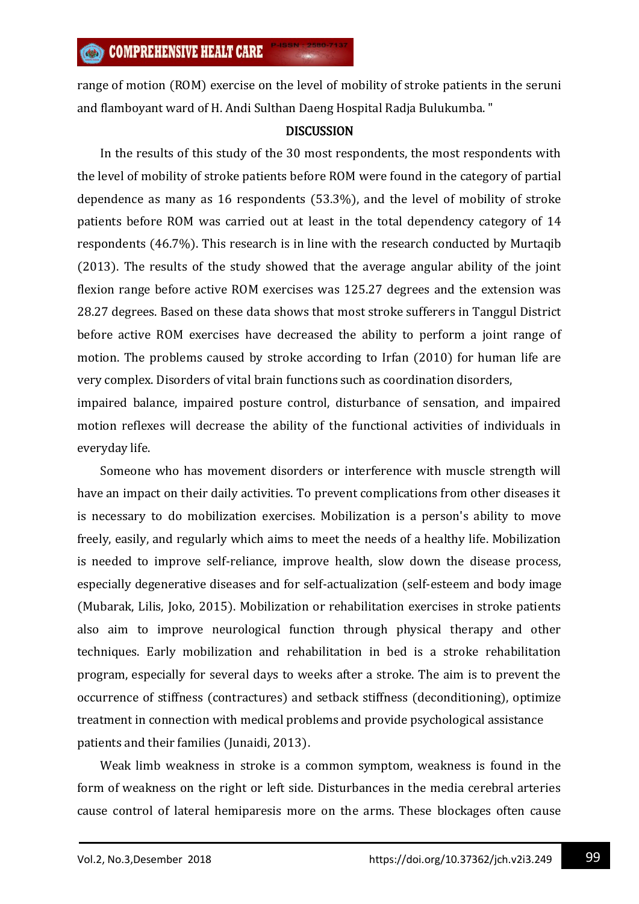range of motion (ROM) exercise on the level of mobility of stroke patients in the seruni and flamboyant ward of H. Andi Sulthan Daeng Hospital Radja Bulukumba. "

### **DISCUSSION**

In the results of this study of the 30 most respondents, the most respondents with the level of mobility of stroke patients before ROM were found in the category of partial dependence as many as 16 respondents (53.3%), and the level of mobility of stroke patients before ROM was carried out at least in the total dependency category of 14 respondents (46.7%). This research is in line with the research conducted by Murtaqib (2013). The results of the study showed that the average angular ability of the joint flexion range before active ROM exercises was 125.27 degrees and the extension was 28.27 degrees. Based on these data shows that most stroke sufferers in Tanggul District before active ROM exercises have decreased the ability to perform a joint range of motion. The problems caused by stroke according to Irfan (2010) for human life are very complex. Disorders of vital brain functions such as coordination disorders,

impaired balance, impaired posture control, disturbance of sensation, and impaired motion reflexes will decrease the ability of the functional activities of individuals in everyday life.

Someone who has movement disorders or interference with muscle strength will have an impact on their daily activities. To prevent complications from other diseases it is necessary to do mobilization exercises. Mobilization is a person's ability to move freely, easily, and regularly which aims to meet the needs of a healthy life. Mobilization is needed to improve self-reliance, improve health, slow down the disease process, especially degenerative diseases and for self-actualization (self-esteem and body image (Mubarak, Lilis, Joko, 2015). Mobilization or rehabilitation exercises in stroke patients also aim to improve neurological function through physical therapy and other techniques. Early mobilization and rehabilitation in bed is a stroke rehabilitation program, especially for several days to weeks after a stroke. The aim is to prevent the occurrence of stiffness (contractures) and setback stiffness (deconditioning), optimize treatment in connection with medical problems and provide psychological assistance patients and their families (Junaidi, 2013).

Weak limb weakness in stroke is a common symptom, weakness is found in the form of weakness on the right or left side. Disturbances in the media cerebral arteries cause control of lateral hemiparesis more on the arms. These blockages often cause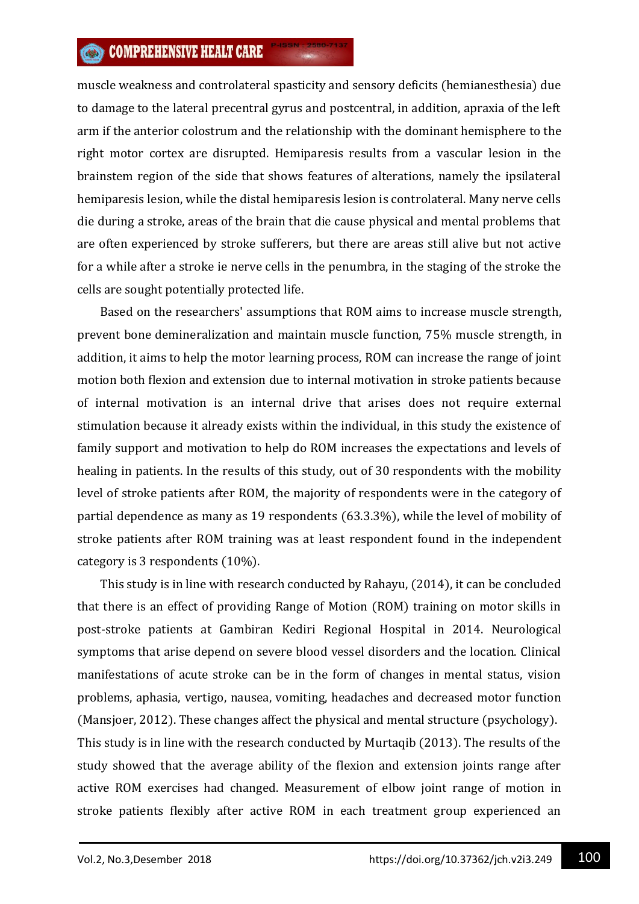# **COMPREHENSIVE HEALT CARE**

muscle weakness and controlateral spasticity and sensory deficits (hemianesthesia) due to damage to the lateral precentral gyrus and postcentral, in addition, apraxia of the left arm if the anterior colostrum and the relationship with the dominant hemisphere to the right motor cortex are disrupted. Hemiparesis results from a vascular lesion in the brainstem region of the side that shows features of alterations, namely the ipsilateral hemiparesis lesion, while the distal hemiparesis lesion is controlateral. Many nerve cells die during a stroke, areas of the brain that die cause physical and mental problems that are often experienced by stroke sufferers, but there are areas still alive but not active for a while after a stroke ie nerve cells in the penumbra, in the staging of the stroke the cells are sought potentially protected life.

Based on the researchers' assumptions that ROM aims to increase muscle strength, prevent bone demineralization and maintain muscle function, 75% muscle strength, in addition, it aims to help the motor learning process, ROM can increase the range of joint motion both flexion and extension due to internal motivation in stroke patients because of internal motivation is an internal drive that arises does not require external stimulation because it already exists within the individual, in this study the existence of family support and motivation to help do ROM increases the expectations and levels of healing in patients. In the results of this study, out of 30 respondents with the mobility level of stroke patients after ROM, the majority of respondents were in the category of partial dependence as many as 19 respondents (63.3.3%), while the level of mobility of stroke patients after ROM training was at least respondent found in the independent category is 3 respondents (10%).

This study is in line with research conducted by Rahayu, (2014), it can be concluded that there is an effect of providing Range of Motion (ROM) training on motor skills in post-stroke patients at Gambiran Kediri Regional Hospital in 2014. Neurological symptoms that arise depend on severe blood vessel disorders and the location. Clinical manifestations of acute stroke can be in the form of changes in mental status, vision problems, aphasia, vertigo, nausea, vomiting, headaches and decreased motor function (Mansjoer, 2012). These changes affect the physical and mental structure (psychology). This study is in line with the research conducted by Murtaqib (2013). The results of the study showed that the average ability of the flexion and extension joints range after active ROM exercises had changed. Measurement of elbow joint range of motion in stroke patients flexibly after active ROM in each treatment group experienced an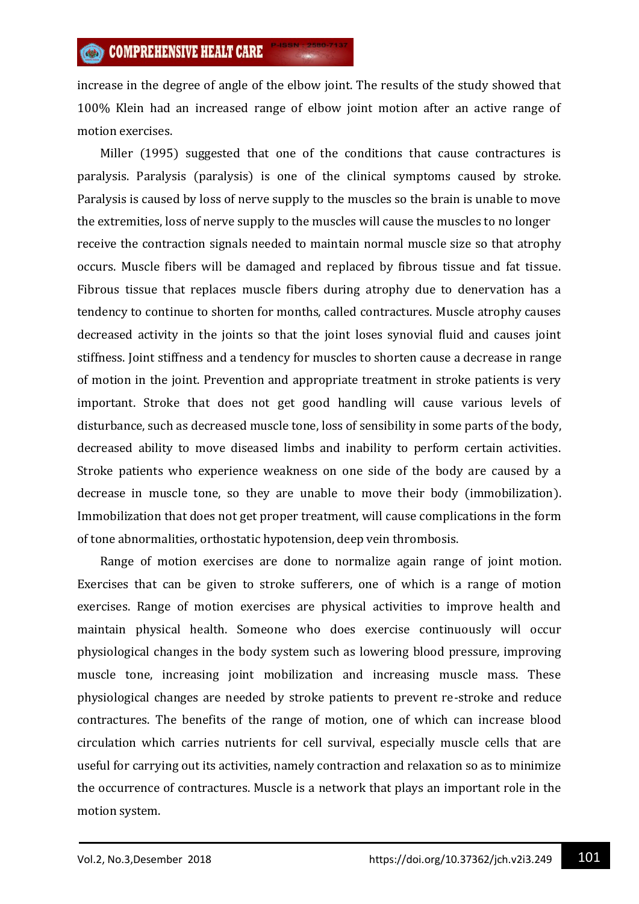increase in the degree of angle of the elbow joint. The results of the study showed that 100% Klein had an increased range of elbow joint motion after an active range of motion exercises.

Miller (1995) suggested that one of the conditions that cause contractures is paralysis. Paralysis (paralysis) is one of the clinical symptoms caused by stroke. Paralysis is caused by loss of nerve supply to the muscles so the brain is unable to move the extremities, loss of nerve supply to the muscles will cause the muscles to no longer receive the contraction signals needed to maintain normal muscle size so that atrophy occurs. Muscle fibers will be damaged and replaced by fibrous tissue and fat tissue. Fibrous tissue that replaces muscle fibers during atrophy due to denervation has a tendency to continue to shorten for months, called contractures. Muscle atrophy causes decreased activity in the joints so that the joint loses synovial fluid and causes joint stiffness. Joint stiffness and a tendency for muscles to shorten cause a decrease in range of motion in the joint. Prevention and appropriate treatment in stroke patients is very important. Stroke that does not get good handling will cause various levels of disturbance, such as decreased muscle tone, loss of sensibility in some parts of the body, decreased ability to move diseased limbs and inability to perform certain activities. Stroke patients who experience weakness on one side of the body are caused by a decrease in muscle tone, so they are unable to move their body (immobilization). Immobilization that does not get proper treatment, will cause complications in the form of tone abnormalities, orthostatic hypotension, deep vein thrombosis.

Range of motion exercises are done to normalize again range of joint motion. Exercises that can be given to stroke sufferers, one of which is a range of motion exercises. Range of motion exercises are physical activities to improve health and maintain physical health. Someone who does exercise continuously will occur physiological changes in the body system such as lowering blood pressure, improving muscle tone, increasing joint mobilization and increasing muscle mass. These physiological changes are needed by stroke patients to prevent re-stroke and reduce contractures. The benefits of the range of motion, one of which can increase blood circulation which carries nutrients for cell survival, especially muscle cells that are useful for carrying out its activities, namely contraction and relaxation so as to minimize the occurrence of contractures. Muscle is a network that plays an important role in the motion system.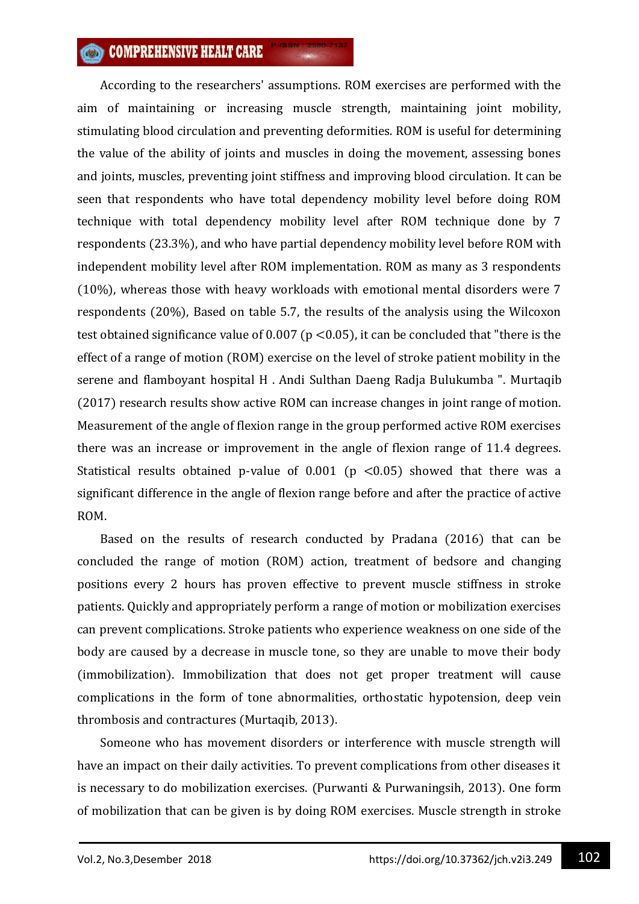# **COMPREHENSIVE HEALT CARE**

According to the researchers' assumptions. ROM exercises are performed with the aim of maintaining or increasing muscle strength, maintaining joint mobility, stimulating blood circulation and preventing deformities. ROM is useful for determining the value of the ability of joints and muscles in doing the movement, assessing bones and joints, muscles, preventing joint stiffness and improving blood circulation. It can be seen that respondents who have total dependency mobility level before doing ROM technique with total dependency mobility level after ROM technique done by 7 respondents (23.3%), and who have partial dependency mobility level before ROM with independent mobility level after ROM implementation. ROM as many as 3 respondents (10%), whereas those with heavy workloads with emotional mental disorders were 7 respondents (20%), Based on table 5.7, the results of the analysis using the Wilcoxon test obtained significance value of  $0.007$  (p <0.05), it can be concluded that "there is the effect of a range of motion (ROM) exercise on the level of stroke patient mobility in the serene and flamboyant hospital H . Andi Sulthan Daeng Radja Bulukumba ". Murtaqib (2017) research results show active ROM can increase changes in joint range of motion. Measurement of the angle of flexion range in the group performed active ROM exercises there was an increase or improvement in the angle of flexion range of 11.4 degrees. Statistical results obtained p-value of  $0.001$  (p <0.05) showed that there was a significant difference in the angle of flexion range before and after the practice of active ROM.

Based on the results of research conducted by Pradana (2016) that can be concluded the range of motion (ROM) action, treatment of bedsore and changing positions every 2 hours has proven effective to prevent muscle stiffness in stroke patients. Quickly and appropriately perform a range of motion or mobilization exercises can prevent complications. Stroke patients who experience weakness on one side of the body are caused by a decrease in muscle tone, so they are unable to move their body (immobilization). Immobilization that does not get proper treatment will cause complications in the form of tone abnormalities, orthostatic hypotension, deep vein thrombosis and contractures (Murtaqib, 2013).

Someone who has movement disorders or interference with muscle strength will have an impact on their daily activities. To prevent complications from other diseases it is necessary to do mobilization exercises. (Purwanti & Purwaningsih, 2013). One form of mobilization that can be given is by doing ROM exercises. Muscle strength in stroke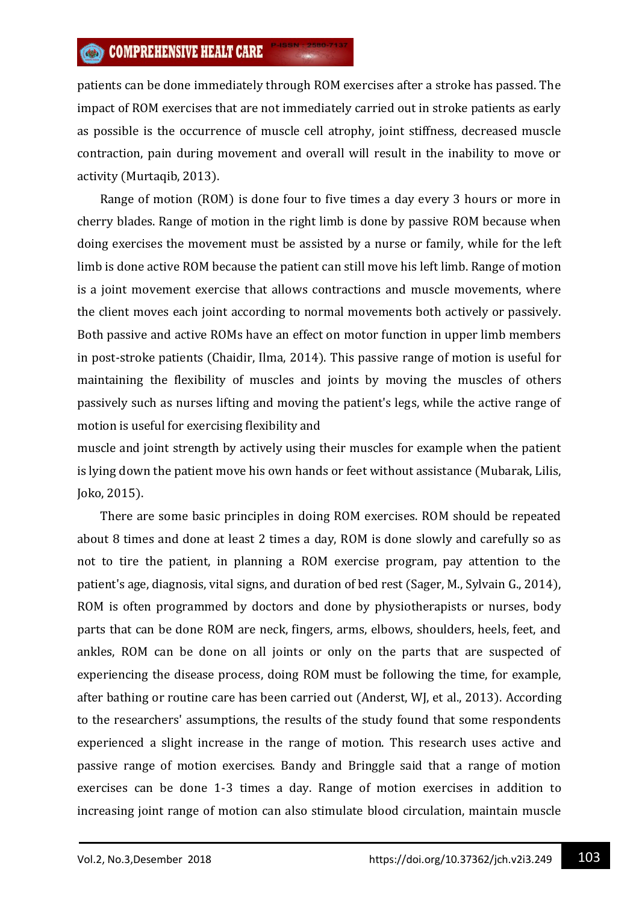patients can be done immediately through ROM exercises after a stroke has passed. The impact of ROM exercises that are not immediately carried out in stroke patients as early as possible is the occurrence of muscle cell atrophy, joint stiffness, decreased muscle contraction, pain during movement and overall will result in the inability to move or activity (Murtaqib, 2013).

Range of motion (ROM) is done four to five times a day every 3 hours or more in cherry blades. Range of motion in the right limb is done by passive ROM because when doing exercises the movement must be assisted by a nurse or family, while for the left limb is done active ROM because the patient can still move his left limb. Range of motion is a joint movement exercise that allows contractions and muscle movements, where the client moves each joint according to normal movements both actively or passively. Both passive and active ROMs have an effect on motor function in upper limb members in post-stroke patients (Chaidir, Ilma, 2014). This passive range of motion is useful for maintaining the flexibility of muscles and joints by moving the muscles of others passively such as nurses lifting and moving the patient's legs, while the active range of motion is useful for exercising flexibility and

muscle and joint strength by actively using their muscles for example when the patient is lying down the patient move his own hands or feet without assistance (Mubarak, Lilis, Joko, 2015).

There are some basic principles in doing ROM exercises. ROM should be repeated about 8 times and done at least 2 times a day, ROM is done slowly and carefully so as not to tire the patient, in planning a ROM exercise program, pay attention to the patient's age, diagnosis, vital signs, and duration of bed rest (Sager, M., Sylvain G., 2014), ROM is often programmed by doctors and done by physiotherapists or nurses, body parts that can be done ROM are neck, fingers, arms, elbows, shoulders, heels, feet, and ankles, ROM can be done on all joints or only on the parts that are suspected of experiencing the disease process, doing ROM must be following the time, for example, after bathing or routine care has been carried out (Anderst, WJ, et al., 2013). According to the researchers' assumptions, the results of the study found that some respondents experienced a slight increase in the range of motion. This research uses active and passive range of motion exercises. Bandy and Bringgle said that a range of motion exercises can be done 1-3 times a day. Range of motion exercises in addition to increasing joint range of motion can also stimulate blood circulation, maintain muscle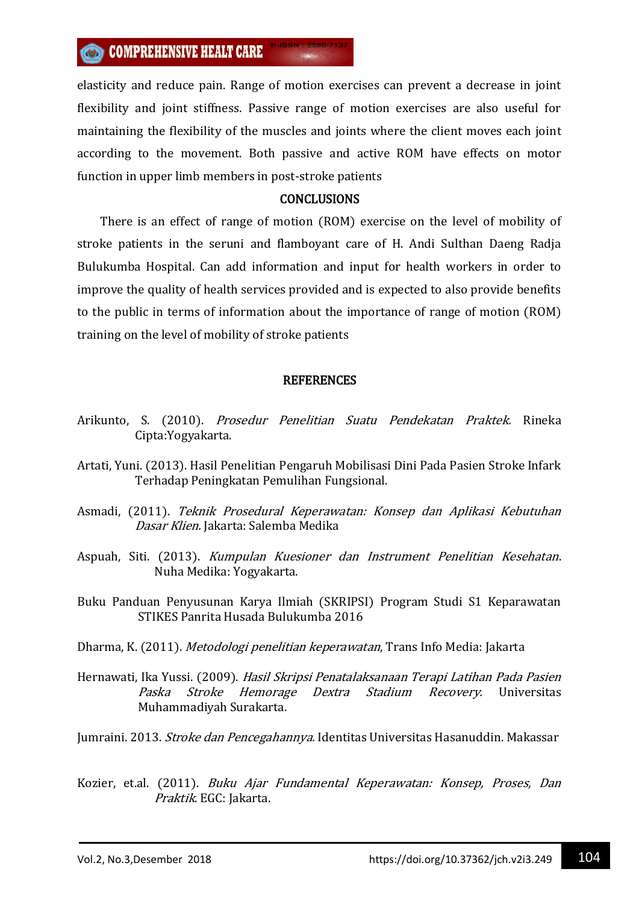elasticity and reduce pain. Range of motion exercises can prevent a decrease in joint flexibility and joint stiffness. Passive range of motion exercises are also useful for maintaining the flexibility of the muscles and joints where the client moves each joint according to the movement. Both passive and active ROM have effects on motor function in upper limb members in post-stroke patients

### CONCLUSIONS

There is an effect of range of motion (ROM) exercise on the level of mobility of stroke patients in the seruni and flamboyant care of H. Andi Sulthan Daeng Radja Bulukumba Hospital. Can add information and input for health workers in order to improve the quality of health services provided and is expected to also provide benefits to the public in terms of information about the importance of range of motion (ROM) training on the level of mobility of stroke patients

### **REFERENCES**

- Arikunto, S. (2010). Prosedur Penelitian Suatu Pendekatan Praktek. Rineka Cipta:Yogyakarta.
- Artati, Yuni. (2013). Hasil Penelitian Pengaruh Mobilisasi Dini Pada Pasien Stroke Infark Terhadap Peningkatan Pemulihan Fungsional.
- Asmadi, (2011). Teknik Prosedural Keperawatan: Konsep dan Aplikasi Kebutuhan Dasar Klien. Jakarta: Salemba Medika
- Aspuah, Siti. (2013). Kumpulan Kuesioner dan Instrument Penelitian Kesehatan. Nuha Medika: Yogyakarta.
- Buku Panduan Penyusunan Karya Ilmiah (SKRIPSI) Program Studi S1 Keparawatan STIKES Panrita Husada Bulukumba 2016
- Dharma, K. (2011). Metodologi penelitian keperawatan, Trans Info Media: Jakarta
- Hernawati, Ika Yussi. (2009). Hasil Skripsi Penatalaksanaan Terapi Latihan Pada Pasien Paska Stroke Hemorage Dextra Stadium Recovery. Universitas Muhammadiyah Surakarta.

Jumraini. 2013. Stroke dan Pencegahannya. Identitas Universitas Hasanuddin. Makassar

Kozier, et.al. (2011). Buku Ajar Fundamental Keperawatan: Konsep, Proses, Dan Praktik. EGC: Jakarta.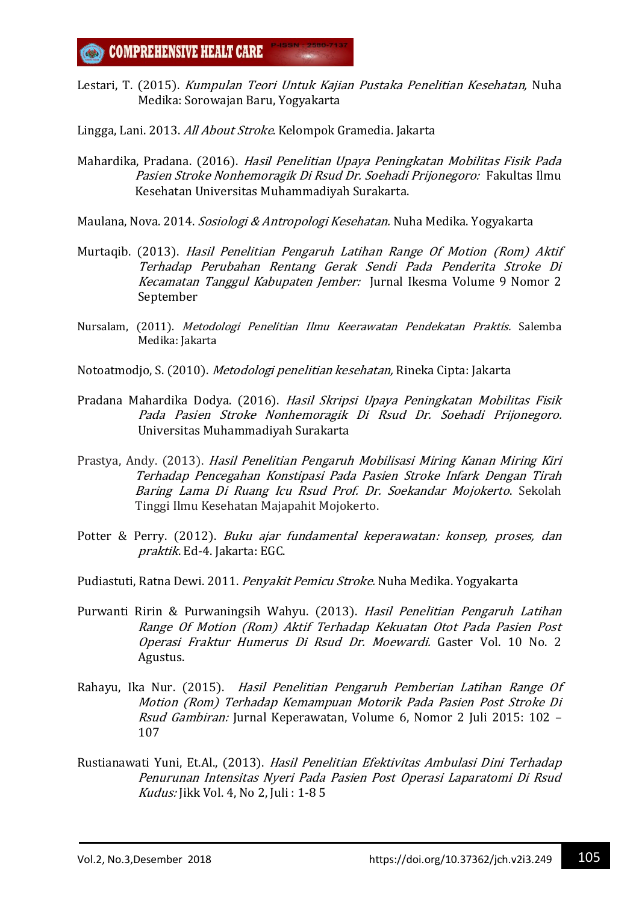Lestari, T. (2015). Kumpulan Teori Untuk Kajian Pustaka Penelitian Kesehatan, Nuha Medika: Sorowajan Baru, Yogyakarta

Lingga, Lani. 2013. All About Stroke. Kelompok Gramedia. Jakarta

- Mahardika, Pradana. (2016). Hasil Penelitian Upaya Peningkatan Mobilitas Fisik Pada Pasien Stroke Nonhemoragik Di Rsud Dr. Soehadi Prijonegoro: Fakultas Ilmu Kesehatan Universitas Muhammadiyah Surakarta.
- Maulana, Nova. 2014. Sosiologi & Antropologi Kesehatan. Nuha Medika. Yogyakarta
- Murtaqib. (2013). Hasil Penelitian Pengaruh Latihan Range Of Motion (Rom) Aktif Terhadap Perubahan Rentang Gerak Sendi Pada Penderita Stroke Di Kecamatan Tanggul Kabupaten Jember: Jurnal Ikesma Volume 9 Nomor 2 September
- Nursalam, (2011). Metodologi Penelitian Ilmu Keerawatan Pendekatan Praktis. Salemba Medika: Jakarta
- Notoatmodjo, S. (2010). Metodologi penelitian kesehatan, Rineka Cipta: Jakarta
- Pradana Mahardika Dodya. (2016). Hasil Skripsi Upaya Peningkatan Mobilitas Fisik Pada Pasien Stroke Nonhemoragik Di Rsud Dr. Soehadi Prijonegoro. Universitas Muhammadiyah Surakarta
- Prastya, Andy. (2013). Hasil Penelitian Pengaruh Mobilisasi Miring Kanan Miring Kiri Terhadap Pencegahan Konstipasi Pada Pasien Stroke Infark Dengan Tirah Baring Lama Di Ruang Icu Rsud Prof. Dr. Soekandar Mojokerto. Sekolah Tinggi Ilmu Kesehatan Majapahit Mojokerto.
- Potter & Perry. (2012). Buku ajar fundamental keperawatan: konsep, proses, dan praktik. Ed-4. Jakarta: EGC.
- Pudiastuti, Ratna Dewi. 2011. Penyakit Pemicu Stroke. Nuha Medika. Yogyakarta
- Purwanti Ririn & Purwaningsih Wahyu. (2013). Hasil Penelitian Pengaruh Latihan Range Of Motion (Rom) Aktif Terhadap Kekuatan Otot Pada Pasien Post Operasi Fraktur Humerus Di Rsud Dr. Moewardi. Gaster Vol. 10 No. 2 Agustus.
- Rahayu, Ika Nur. (2015). Hasil Penelitian Pengaruh Pemberian Latihan Range Of Motion (Rom) Terhadap Kemampuan Motorik Pada Pasien Post Stroke Di Rsud Gambiran: Jurnal Keperawatan, Volume 6, Nomor 2 Juli 2015: 102 – 107
- Rustianawati Yuni, Et.Al., (2013). Hasil Penelitian Efektivitas Ambulasi Dini Terhadap Penurunan Intensitas Nyeri Pada Pasien Post Operasi Laparatomi Di Rsud Kudus: Jikk Vol. 4, No 2, Juli : 1-8 5